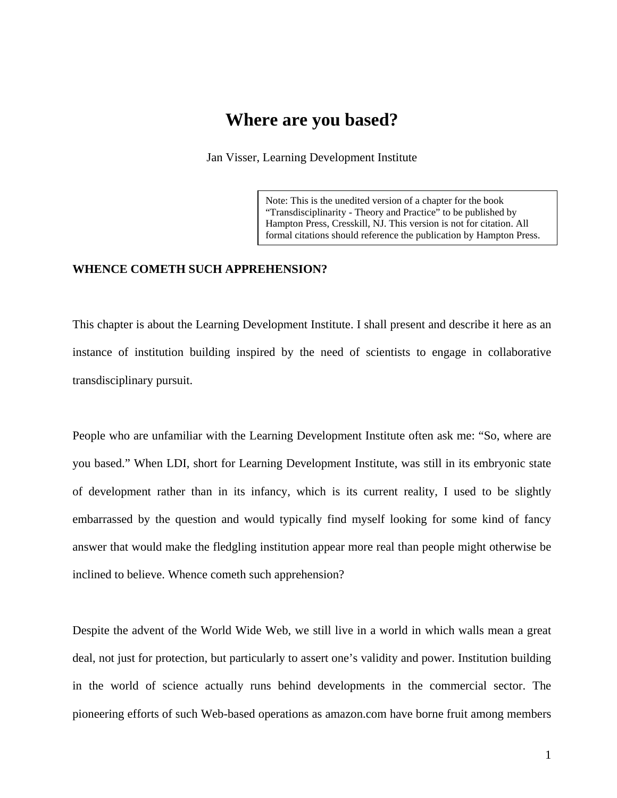# **Where are you based?**

Jan Visser, Learning Development Institute

Note: This is the unedited version of a chapter for the book "Transdisciplinarity - Theory and Practice" to be published by Hampton Press, Cresskill, NJ. This version is not for citation. All formal citations should reference the publication by Hampton Press.

### **WHENCE COMETH SUCH APPREHENSION?**

This chapter is about the Learning Development Institute. I shall present and describe it here as an instance of institution building inspired by the need of scientists to engage in collaborative transdisciplinary pursuit.

People who are unfamiliar with the Learning Development Institute often ask me: "So, where are you based." When LDI, short for Learning Development Institute, was still in its embryonic state of development rather than in its infancy, which is its current reality, I used to be slightly embarrassed by the question and would typically find myself looking for some kind of fancy answer that would make the fledgling institution appear more real than people might otherwise be inclined to believe. Whence cometh such apprehension?

Despite the advent of the World Wide Web, we still live in a world in which walls mean a great deal, not just for protection, but particularly to assert one's validity and power. Institution building in the world of science actually runs behind developments in the commercial sector. The pioneering efforts of such Web-based operations as amazon.com have borne fruit among members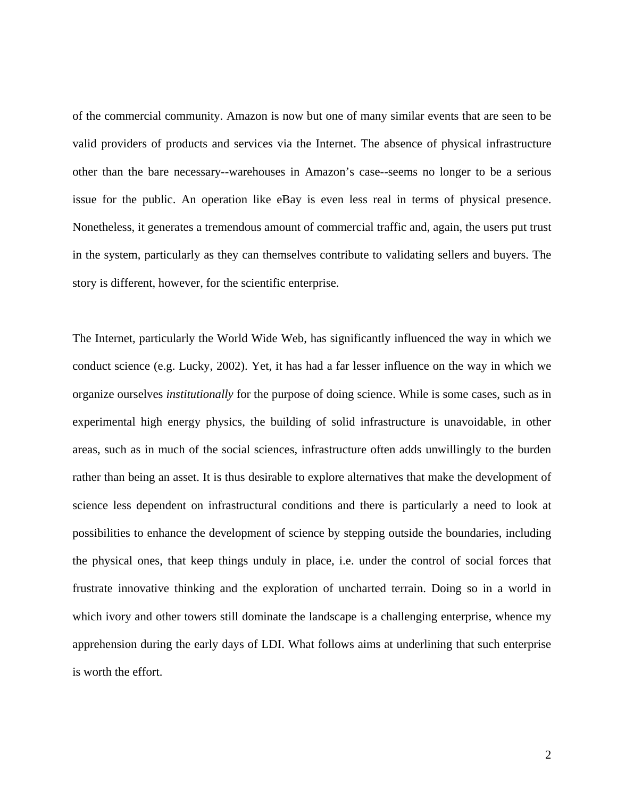of the commercial community. Amazon is now but one of many similar events that are seen to be valid providers of products and services via the Internet. The absence of physical infrastructure other than the bare necessary--warehouses in Amazon's case--seems no longer to be a serious issue for the public. An operation like eBay is even less real in terms of physical presence. Nonetheless, it generates a tremendous amount of commercial traffic and, again, the users put trust in the system, particularly as they can themselves contribute to validating sellers and buyers. The story is different, however, for the scientific enterprise.

The Internet, particularly the World Wide Web, has significantly influenced the way in which we conduct science (e.g. Lucky, 2002). Yet, it has had a far lesser influence on the way in which we organize ourselves *institutionally* for the purpose of doing science. While is some cases, such as in experimental high energy physics, the building of solid infrastructure is unavoidable, in other areas, such as in much of the social sciences, infrastructure often adds unwillingly to the burden rather than being an asset. It is thus desirable to explore alternatives that make the development of science less dependent on infrastructural conditions and there is particularly a need to look at possibilities to enhance the development of science by stepping outside the boundaries, including the physical ones, that keep things unduly in place, i.e. under the control of social forces that frustrate innovative thinking and the exploration of uncharted terrain. Doing so in a world in which ivory and other towers still dominate the landscape is a challenging enterprise, whence my apprehension during the early days of LDI. What follows aims at underlining that such enterprise is worth the effort.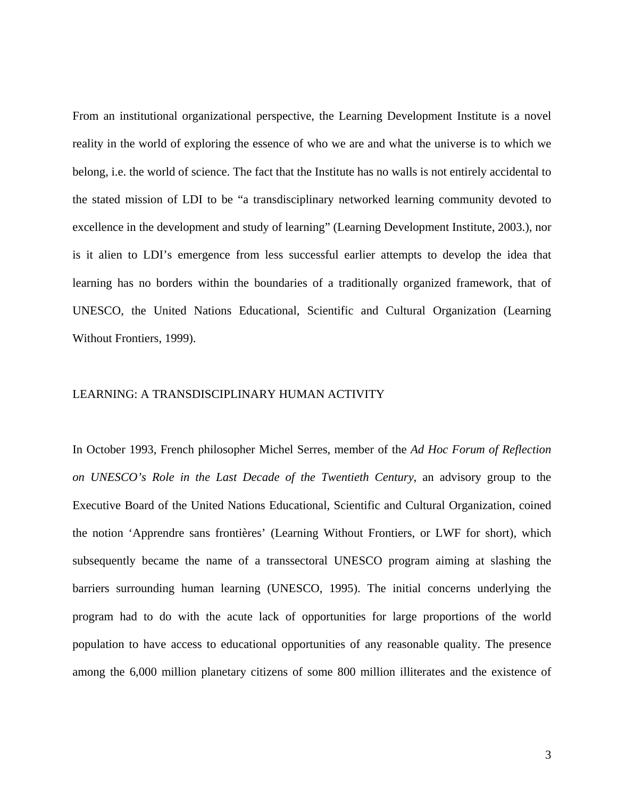From an institutional organizational perspective, the Learning Development Institute is a novel reality in the world of exploring the essence of who we are and what the universe is to which we belong, i.e. the world of science. The fact that the Institute has no walls is not entirely accidental to the stated mission of LDI to be "a transdisciplinary networked learning community devoted to excellence in the development and study of learning" (Learning Development Institute, 2003.), nor is it alien to LDI's emergence from less successful earlier attempts to develop the idea that learning has no borders within the boundaries of a traditionally organized framework, that of UNESCO, the United Nations Educational, Scientific and Cultural Organization (Learning Without Frontiers, 1999).

#### LEARNING: A TRANSDISCIPLINARY HUMAN ACTIVITY

In October 1993, French philosopher Michel Serres, member of the *Ad Hoc Forum of Reflection on UNESCO's Role in the Last Decade of the Twentieth Century*, an advisory group to the Executive Board of the United Nations Educational, Scientific and Cultural Organization, coined the notion 'Apprendre sans frontières' (Learning Without Frontiers, or LWF for short), which subsequently became the name of a transsectoral UNESCO program aiming at slashing the barriers surrounding human learning (UNESCO, 1995). The initial concerns underlying the program had to do with the acute lack of opportunities for large proportions of the world population to have access to educational opportunities of any reasonable quality. The presence among the 6,000 million planetary citizens of some 800 million illiterates and the existence of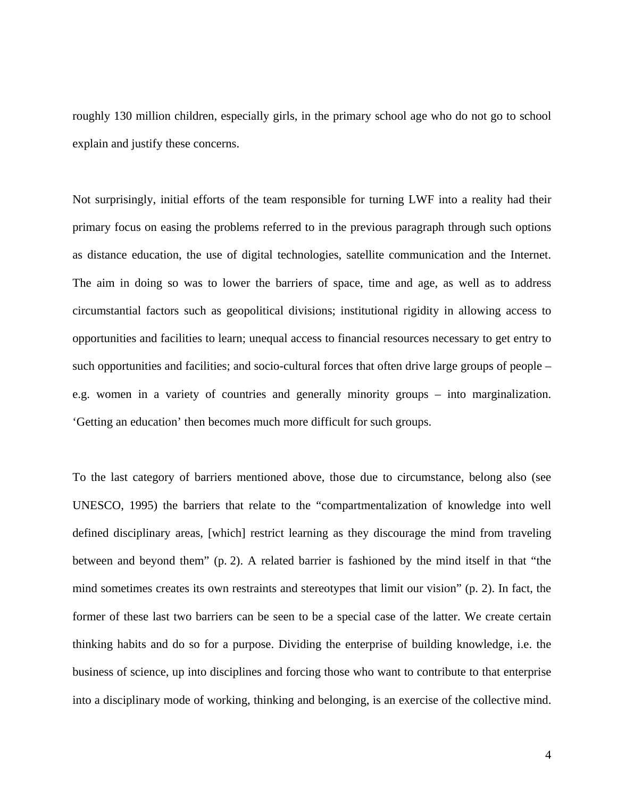roughly 130 million children, especially girls, in the primary school age who do not go to school explain and justify these concerns.

Not surprisingly, initial efforts of the team responsible for turning LWF into a reality had their primary focus on easing the problems referred to in the previous paragraph through such options as distance education, the use of digital technologies, satellite communication and the Internet. The aim in doing so was to lower the barriers of space, time and age, as well as to address circumstantial factors such as geopolitical divisions; institutional rigidity in allowing access to opportunities and facilities to learn; unequal access to financial resources necessary to get entry to such opportunities and facilities; and socio-cultural forces that often drive large groups of people – e.g. women in a variety of countries and generally minority groups – into marginalization. 'Getting an education' then becomes much more difficult for such groups.

To the last category of barriers mentioned above, those due to circumstance, belong also (see UNESCO, 1995) the barriers that relate to the "compartmentalization of knowledge into well defined disciplinary areas, [which] restrict learning as they discourage the mind from traveling between and beyond them" (p. 2). A related barrier is fashioned by the mind itself in that "the mind sometimes creates its own restraints and stereotypes that limit our vision" (p. 2). In fact, the former of these last two barriers can be seen to be a special case of the latter. We create certain thinking habits and do so for a purpose. Dividing the enterprise of building knowledge, i.e. the business of science, up into disciplines and forcing those who want to contribute to that enterprise into a disciplinary mode of working, thinking and belonging, is an exercise of the collective mind.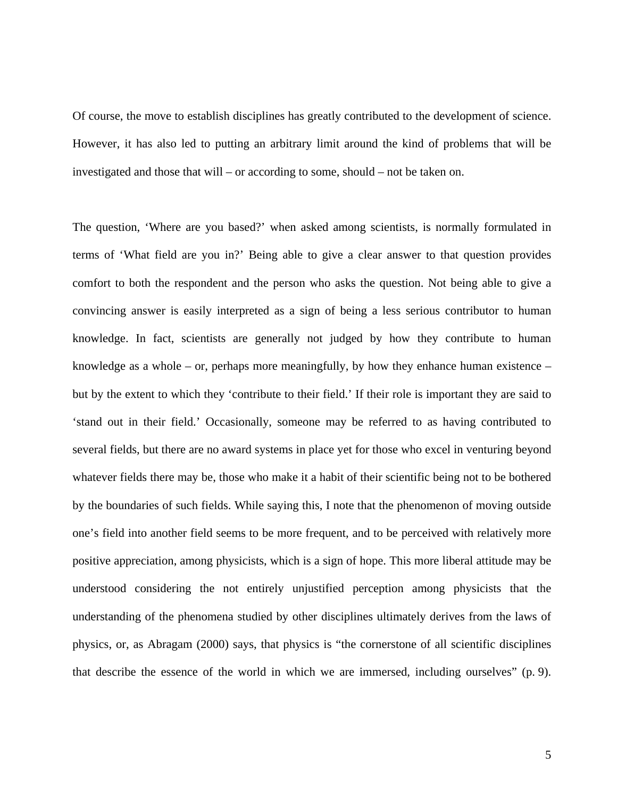Of course, the move to establish disciplines has greatly contributed to the development of science. However, it has also led to putting an arbitrary limit around the kind of problems that will be investigated and those that will – or according to some, should – not be taken on.

The question, 'Where are you based?' when asked among scientists, is normally formulated in terms of 'What field are you in?' Being able to give a clear answer to that question provides comfort to both the respondent and the person who asks the question. Not being able to give a convincing answer is easily interpreted as a sign of being a less serious contributor to human knowledge. In fact, scientists are generally not judged by how they contribute to human knowledge as a whole – or, perhaps more meaningfully, by how they enhance human existence – but by the extent to which they 'contribute to their field.' If their role is important they are said to 'stand out in their field.' Occasionally, someone may be referred to as having contributed to several fields, but there are no award systems in place yet for those who excel in venturing beyond whatever fields there may be, those who make it a habit of their scientific being not to be bothered by the boundaries of such fields. While saying this, I note that the phenomenon of moving outside one's field into another field seems to be more frequent, and to be perceived with relatively more positive appreciation, among physicists, which is a sign of hope. This more liberal attitude may be understood considering the not entirely unjustified perception among physicists that the understanding of the phenomena studied by other disciplines ultimately derives from the laws of physics, or, as Abragam (2000) says, that physics is "the cornerstone of all scientific disciplines that describe the essence of the world in which we are immersed, including ourselves" (p. 9).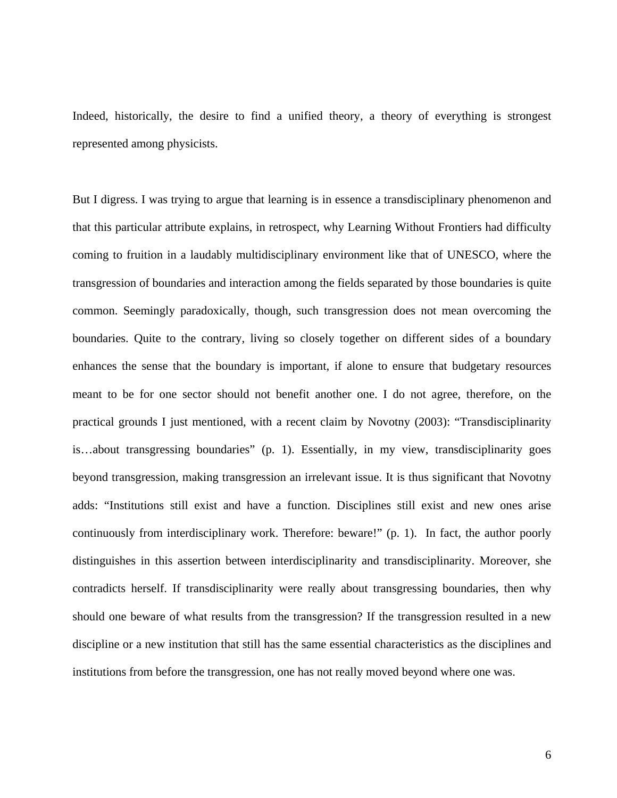Indeed, historically, the desire to find a unified theory, a theory of everything is strongest represented among physicists.

But I digress. I was trying to argue that learning is in essence a transdisciplinary phenomenon and that this particular attribute explains, in retrospect, why Learning Without Frontiers had difficulty coming to fruition in a laudably multidisciplinary environment like that of UNESCO, where the transgression of boundaries and interaction among the fields separated by those boundaries is quite common. Seemingly paradoxically, though, such transgression does not mean overcoming the boundaries. Quite to the contrary, living so closely together on different sides of a boundary enhances the sense that the boundary is important, if alone to ensure that budgetary resources meant to be for one sector should not benefit another one. I do not agree, therefore, on the practical grounds I just mentioned, with a recent claim by Novotny (2003): "Transdisciplinarity is…about transgressing boundaries" (p. 1). Essentially, in my view, transdisciplinarity goes beyond transgression, making transgression an irrelevant issue. It is thus significant that Novotny adds: "Institutions still exist and have a function. Disciplines still exist and new ones arise continuously from interdisciplinary work. Therefore: beware!" (p. 1). In fact, the author poorly distinguishes in this assertion between interdisciplinarity and transdisciplinarity. Moreover, she contradicts herself. If transdisciplinarity were really about transgressing boundaries, then why should one beware of what results from the transgression? If the transgression resulted in a new discipline or a new institution that still has the same essential characteristics as the disciplines and institutions from before the transgression, one has not really moved beyond where one was.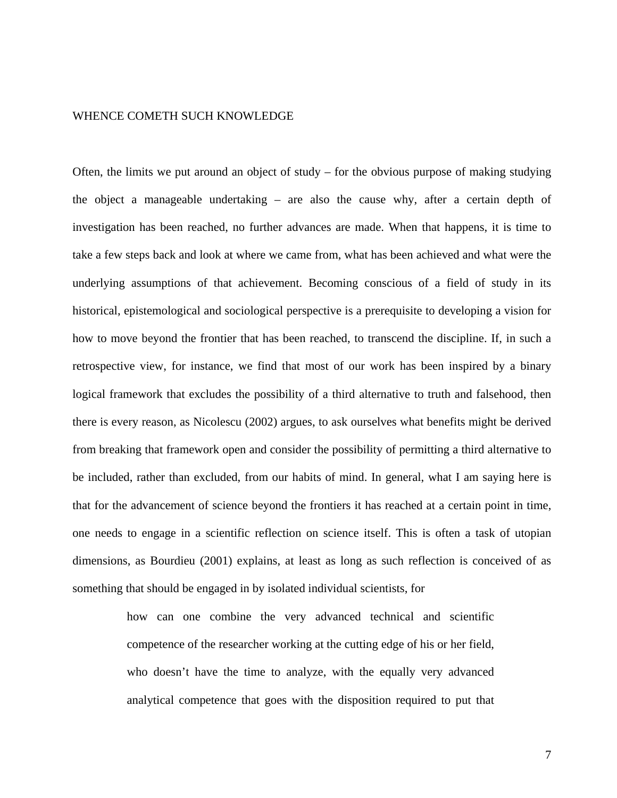## WHENCE COMETH SUCH KNOWLEDGE

Often, the limits we put around an object of study – for the obvious purpose of making studying the object a manageable undertaking – are also the cause why, after a certain depth of investigation has been reached, no further advances are made. When that happens, it is time to take a few steps back and look at where we came from, what has been achieved and what were the underlying assumptions of that achievement. Becoming conscious of a field of study in its historical, epistemological and sociological perspective is a prerequisite to developing a vision for how to move beyond the frontier that has been reached, to transcend the discipline. If, in such a retrospective view, for instance, we find that most of our work has been inspired by a binary logical framework that excludes the possibility of a third alternative to truth and falsehood, then there is every reason, as Nicolescu (2002) argues, to ask ourselves what benefits might be derived from breaking that framework open and consider the possibility of permitting a third alternative to be included, rather than excluded, from our habits of mind. In general, what I am saying here is that for the advancement of science beyond the frontiers it has reached at a certain point in time, one needs to engage in a scientific reflection on science itself. This is often a task of utopian dimensions, as Bourdieu (2001) explains, at least as long as such reflection is conceived of as something that should be engaged in by isolated individual scientists, for

> how can one combine the very advanced technical and scientific competence of the researcher working at the cutting edge of his or her field, who doesn't have the time to analyze, with the equally very advanced analytical competence that goes with the disposition required to put that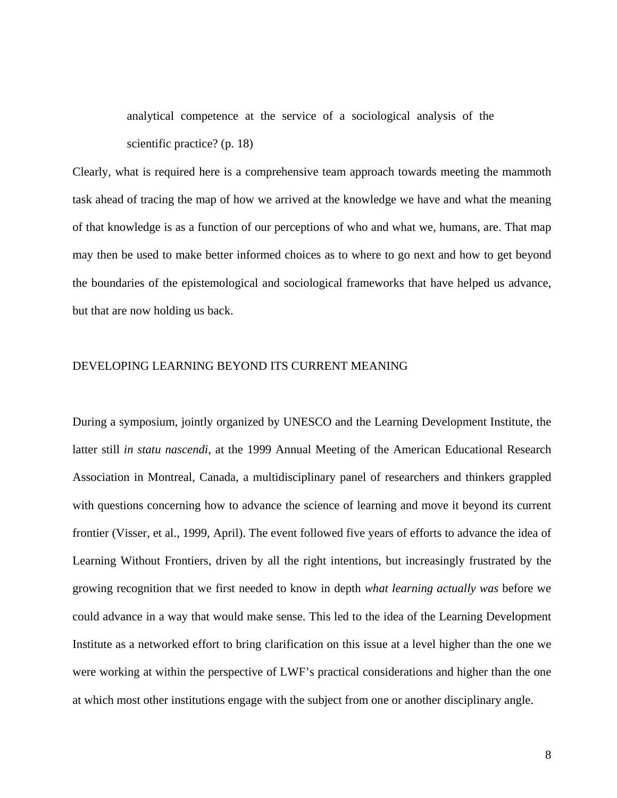analytical competence at the service of a sociological analysis of the scientific practice? (p. 18)

Clearly, what is required here is a comprehensive team approach towards meeting the mammoth task ahead of tracing the map of how we arrived at the knowledge we have and what the meaning of that knowledge is as a function of our perceptions of who and what we, humans, are. That map may then be used to make better informed choices as to where to go next and how to get beyond the boundaries of the epistemological and sociological frameworks that have helped us advance, but that are now holding us back.

# DEVELOPING LEARNING BEYOND ITS CURRENT MEANING

During a symposium, jointly organized by UNESCO and the Learning Development Institute, the latter still *in statu nascendi*, at the 1999 Annual Meeting of the American Educational Research Association in Montreal, Canada, a multidisciplinary panel of researchers and thinkers grappled with questions concerning how to advance the science of learning and move it beyond its current frontier (Visser, et al., 1999, April). The event followed five years of efforts to advance the idea of Learning Without Frontiers, driven by all the right intentions, but increasingly frustrated by the growing recognition that we first needed to know in depth *what learning actually was* before we could advance in a way that would make sense. This led to the idea of the Learning Development Institute as a networked effort to bring clarification on this issue at a level higher than the one we were working at within the perspective of LWF's practical considerations and higher than the one at which most other institutions engage with the subject from one or another disciplinary angle.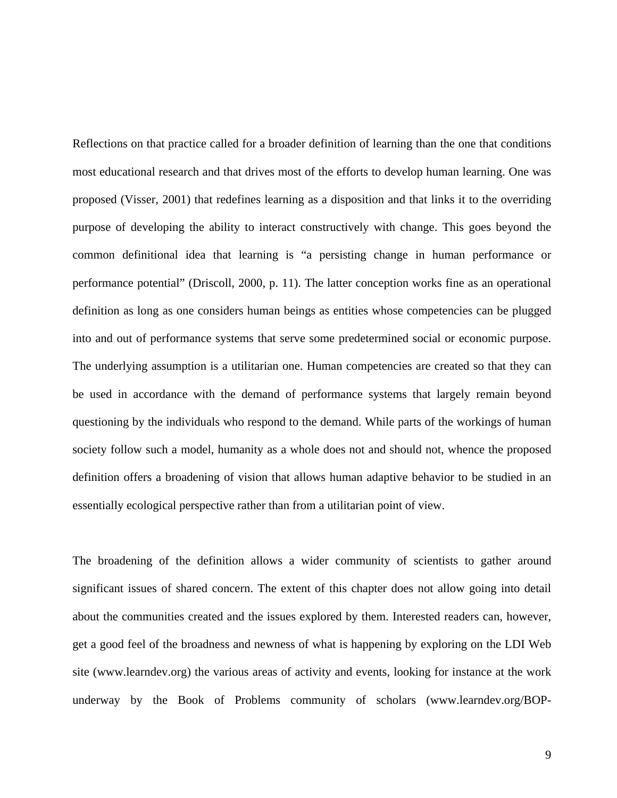Reflections on that practice called for a broader definition of learning than the one that conditions most educational research and that drives most of the efforts to develop human learning. One was proposed (Visser, 2001) that redefines learning as a disposition and that links it to the overriding purpose of developing the ability to interact constructively with change. This goes beyond the common definitional idea that learning is "a persisting change in human performance or performance potential" (Driscoll, 2000, p. 11). The latter conception works fine as an operational definition as long as one considers human beings as entities whose competencies can be plugged into and out of performance systems that serve some predetermined social or economic purpose. The underlying assumption is a utilitarian one. Human competencies are created so that they can be used in accordance with the demand of performance systems that largely remain beyond questioning by the individuals who respond to the demand. While parts of the workings of human society follow such a model, humanity as a whole does not and should not, whence the proposed definition offers a broadening of vision that allows human adaptive behavior to be studied in an essentially ecological perspective rather than from a utilitarian point of view.

The broadening of the definition allows a wider community of scientists to gather around significant issues of shared concern. The extent of this chapter does not allow going into detail about the communities created and the issues explored by them. Interested readers can, however, get a good feel of the broadness and newness of what is happening by exploring on the LDI Web site (www.learndev.org) the various areas of activity and events, looking for instance at the work underway by the Book of Problems community of scholars (www.learndev.org/BOP-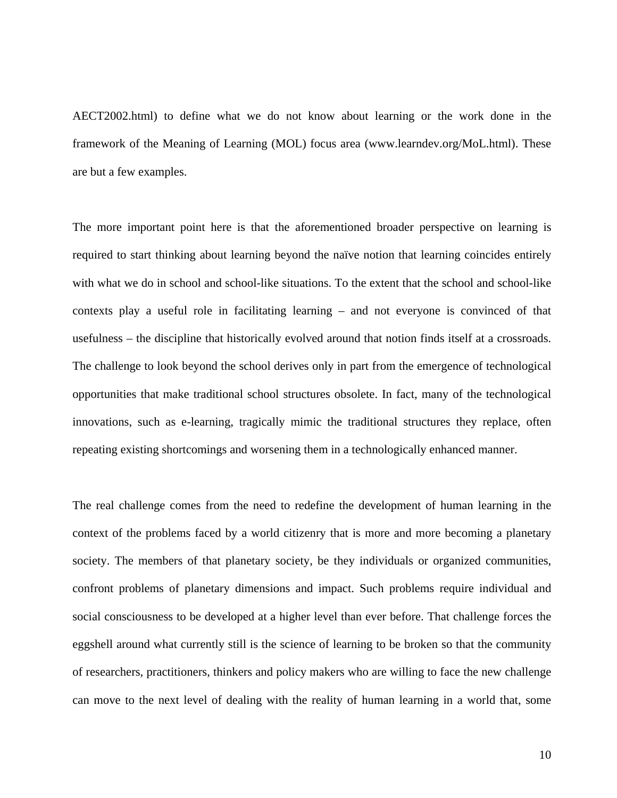AECT2002.html) to define what we do not know about learning or the work done in the framework of the Meaning of Learning (MOL) focus area (www.learndev.org/MoL.html). These are but a few examples.

The more important point here is that the aforementioned broader perspective on learning is required to start thinking about learning beyond the naïve notion that learning coincides entirely with what we do in school and school-like situations. To the extent that the school and school-like contexts play a useful role in facilitating learning – and not everyone is convinced of that usefulness – the discipline that historically evolved around that notion finds itself at a crossroads. The challenge to look beyond the school derives only in part from the emergence of technological opportunities that make traditional school structures obsolete. In fact, many of the technological innovations, such as e-learning, tragically mimic the traditional structures they replace, often repeating existing shortcomings and worsening them in a technologically enhanced manner.

The real challenge comes from the need to redefine the development of human learning in the context of the problems faced by a world citizenry that is more and more becoming a planetary society. The members of that planetary society, be they individuals or organized communities, confront problems of planetary dimensions and impact. Such problems require individual and social consciousness to be developed at a higher level than ever before. That challenge forces the eggshell around what currently still is the science of learning to be broken so that the community of researchers, practitioners, thinkers and policy makers who are willing to face the new challenge can move to the next level of dealing with the reality of human learning in a world that, some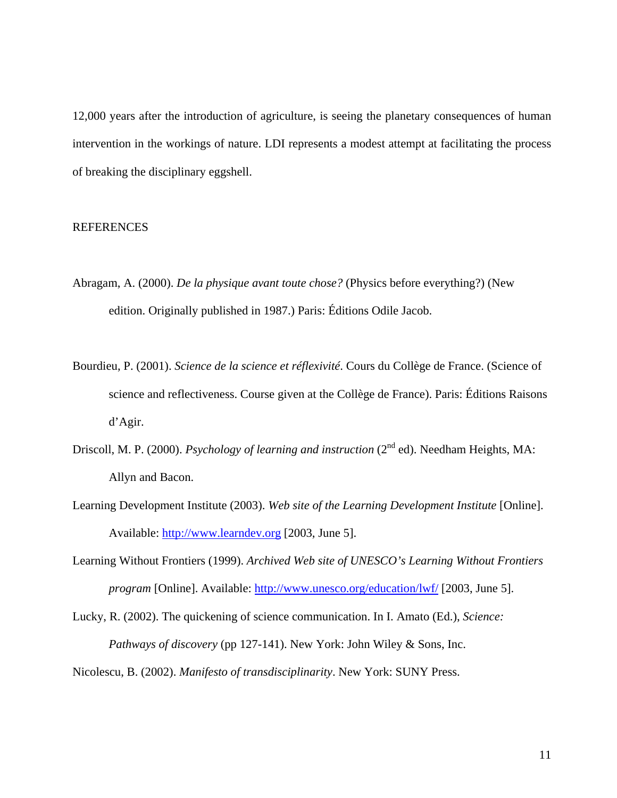12,000 years after the introduction of agriculture, is seeing the planetary consequences of human intervention in the workings of nature. LDI represents a modest attempt at facilitating the process of breaking the disciplinary eggshell.

# **REFERENCES**

- Abragam, A. (2000). *De la physique avant toute chose?* (Physics before everything?) (New edition. Originally published in 1987.) Paris: Éditions Odile Jacob.
- Bourdieu, P. (2001). *Science de la science et réflexivité*. Cours du Collège de France. (Science of science and reflectiveness. Course given at the Collège de France). Paris: Éditions Raisons d'Agir.
- Driscoll, M. P. (2000). *Psychology of learning and instruction* (2<sup>nd</sup> ed). Needham Heights, MA: Allyn and Bacon.
- Learning Development Institute (2003). *Web site of the Learning Development Institute* [Online]. Available: [http://www.learndev.org](http://www.learndev.org/) [2003, June 5].
- Learning Without Frontiers (1999). *Archived Web site of UNESCO's Learning Without Frontiers program* [Online]. Available: <http://www.unesco.org/education/lwf/> [2003, June 5].

Lucky, R. (2002). The quickening of science communication. In I. Amato (Ed.), *Science: Pathways of discovery* (pp 127-141). New York: John Wiley & Sons, Inc.

Nicolescu, B. (2002). *Manifesto of transdisciplinarity*. New York: SUNY Press.